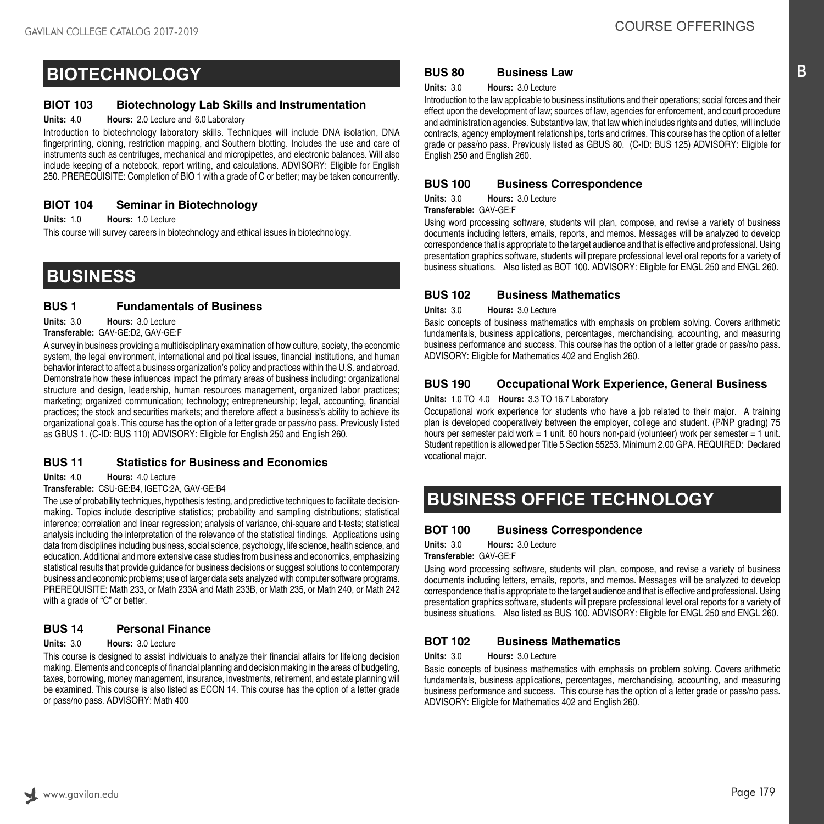# **BIOTECHNOLOGY**

### **BIOT 103 Biotechnology Lab Skills and Instrumentation**

#### **Units:** 4.0 **Hours:** 2.0 Lecture and 6.0 Laboratory

Introduction to biotechnology laboratory skills. Techniques will include DNA isolation, DNA fingerprinting, cloning, restriction mapping, and Southern blotting. Includes the use and care of instruments such as centrifuges, mechanical and micropipettes, and electronic balances. Will also include keeping of a notebook, report writing, and calculations. ADVISORY: Eligible for English 250. PREREQUISITE: Completion of BIO 1 with a grade of C or better; may be taken concurrently.

# **BIOT 104 Seminar in Biotechnology**

**Units:** 1.0 **Hours:** 1.0 Lecture

This course will survey careers in biotechnology and ethical issues in biotechnology.

# **BUSINESS**

## **BUS 1 Fundamentals of Business**

**Units:** 3.0 **Hours:** 3.0 Lecture

#### **Transferable:** GAV-GE:D2, GAV-GE:F

A survey in business providing a multidisciplinary examination of how culture, society, the economic system, the legal environment, international and political issues, financial institutions, and human behavior interact to affect a business organization's policy and practices within the U.S. and abroad. Demonstrate how these influences impact the primary areas of business including: organizational structure and design, leadership, human resources management, organized labor practices; marketing; organized communication; technology; entrepreneurship; legal, accounting, financial practices; the stock and securities markets; and therefore affect a business's ability to achieve its organizational goals. This course has the option of a letter grade or pass/no pass. Previously listed as GBUS 1. (C-ID: BUS 110) ADVISORY: Eligible for English 250 and English 260.

# **BUS 11 Statistics for Business and Economics**

**Units:** 4.0 **Hours:** 4.0 Lecture

**Transferable:** CSU-GE:B4, IGETC:2A, GAV-GE:B4

The use of probability techniques, hypothesis testing, and predictive techniques to facilitate decisionmaking. Topics include descriptive statistics; probability and sampling distributions; statistical inference; correlation and linear regression; analysis of variance, chi-square and t-tests; statistical analysis including the interpretation of the relevance of the statistical findings. Applications using data from disciplines including business, social science, psychology, life science, health science, and education. Additional and more extensive case studies from business and economics, emphasizing statistical results that provide guidance for business decisions or suggest solutions to contemporary business and economic problems; use of larger data sets analyzed with computer software programs. PREREQUISITE: Math 233, or Math 233A and Math 233B, or Math 235, or Math 240, or Math 242 with a grade of "C" or better.

# **BUS 14 Personal Finance**

#### **Units:** 3.0 **Hours:** 3.0 Lecture

This course is designed to assist individuals to analyze their financial affairs for lifelong decision making. Elements and concepts of financial planning and decision making in the areas of budgeting, taxes, borrowing, money management, insurance, investments, retirement, and estate planning will be examined. This course is also listed as ECON 14. This course has the option of a letter grade or pass/no pass. ADVISORY: Math 400

# **BUS 80 Business Law**

**Units:** 3.0 **Hours:** 3.0 Lecture

Introduction to the law applicable to business institutions and their operations; social forces and their effect upon the development of law; sources of law, agencies for enforcement, and court procedure and administration agencies. Substantive law, that law which includes rights and duties, will include contracts, agency employment relationships, torts and crimes. This course has the option of a letter grade or pass/no pass. Previously listed as GBUS 80. (C-ID: BUS 125) ADVISORY: Eligible for English 250 and English 260.

## **BUS 100 Business Correspondence**

**Units:** 3.0 **Hours:** 3.0 Lecture

**Transferable:** GAV-GE:F

Using word processing software, students will plan, compose, and revise a variety of business documents including letters, emails, reports, and memos. Messages will be analyzed to develop correspondence that is appropriate to the target audience and that is effective and professional. Using presentation graphics software, students will prepare professional level oral reports for a variety of business situations. Also listed as BOT 100. ADVISORY: Eligible for ENGL 250 and ENGL 260.

## **BUS 102 Business Mathematics**

**Units:** 3.0 **Hours:** 3.0 Lecture

Basic concepts of business mathematics with emphasis on problem solving. Covers arithmetic fundamentals, business applications, percentages, merchandising, accounting, and measuring business performance and success. This course has the option of a letter grade or pass/no pass. ADVISORY: Eligible for Mathematics 402 and English 260.

# **BUS 190 Occupational Work Experience, General Business**

**Units:** 1.0 TO 4.0 **Hours:** 3.3 TO 16.7 Laboratory

Occupational work experience for students who have a job related to their major. A training plan is developed cooperatively between the employer, college and student. (P/NP grading) 75 hours per semester paid work = 1 unit. 60 hours non-paid (volunteer) work per semester = 1 unit. Student repetition is allowed per Title 5 Section 55253. Minimum 2.00 GPA. REQUIRED: Declared vocational major.

# **BUSINESS OFFICE TECHNOLOGY**

# **BOT 100 Business Correspondence**

**Units:** 3.0 **Hours:** 3.0 Lecture

**Transferable:** GAV-GE:F

Using word processing software, students will plan, compose, and revise a variety of business documents including letters, emails, reports, and memos. Messages will be analyzed to develop correspondence that is appropriate to the target audience and that is effective and professional. Using presentation graphics software, students will prepare professional level oral reports for a variety of business situations. Also listed as BUS 100. ADVISORY: Eligible for ENGL 250 and ENGL 260.

# **BOT 102 Business Mathematics**

**Units:** 3.0 **Hours:** 3.0 Lecture

Basic concepts of business mathematics with emphasis on problem solving. Covers arithmetic fundamentals, business applications, percentages, merchandising, accounting, and measuring business performance and success. This course has the option of a letter grade or pass/no pass. ADVISORY: Eligible for Mathematics 402 and English 260.